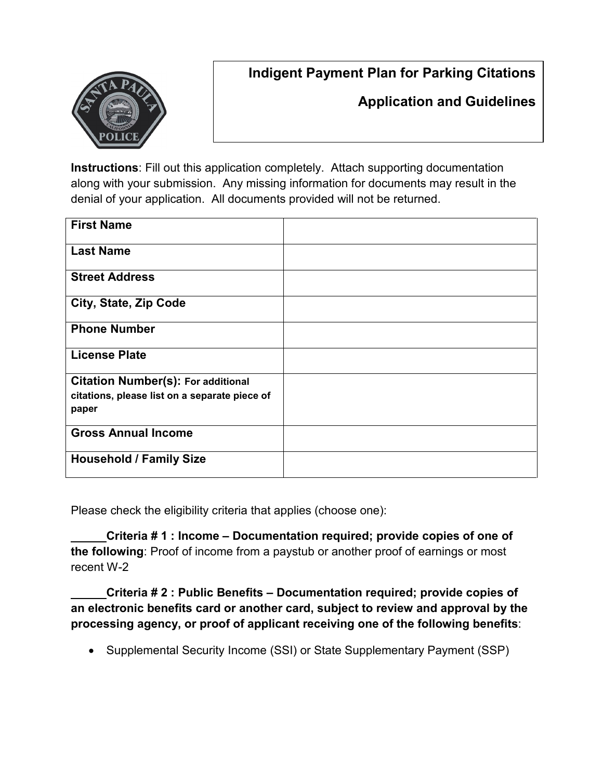## **Indigent Payment Plan for Parking Citations**



## **Application and Guidelines**

**Instructions**: Fill out this application completely. Attach supporting documentation along with your submission. Any missing information for documents may result in the denial of your application. All documents provided will not be returned.

| <b>First Name</b>                             |  |
|-----------------------------------------------|--|
| <b>Last Name</b>                              |  |
| <b>Street Address</b>                         |  |
| City, State, Zip Code                         |  |
| <b>Phone Number</b>                           |  |
| <b>License Plate</b>                          |  |
| <b>Citation Number(s): For additional</b>     |  |
| citations, please list on a separate piece of |  |
| paper                                         |  |
| <b>Gross Annual Income</b>                    |  |
| <b>Household / Family Size</b>                |  |

Please check the eligibility criteria that applies (choose one):

**Criteria # 1 : Income – Documentation required; provide copies of one of the following**: Proof of income from a paystub or another proof of earnings or most recent W-2

**Criteria # 2 : Public Benefits – Documentation required; provide copies of an electronic benefits card or another card, subject to review and approval by the processing agency, or proof of applicant receiving one of the following benefits**:

• Supplemental Security Income (SSI) or State Supplementary Payment (SSP)